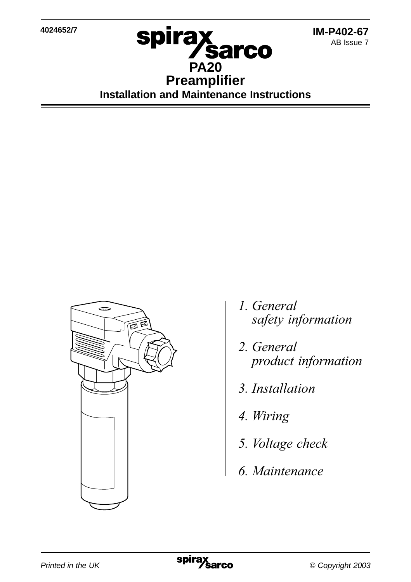**4024652/7**



**spirax**<br>PA20 **Preamplifier Installation and Maintenance Instructions**



- 1. General safety information
- 2. General
- 3. Installation
- 4. Wiring
- 5. *Voltage check*
- 6. Maintenance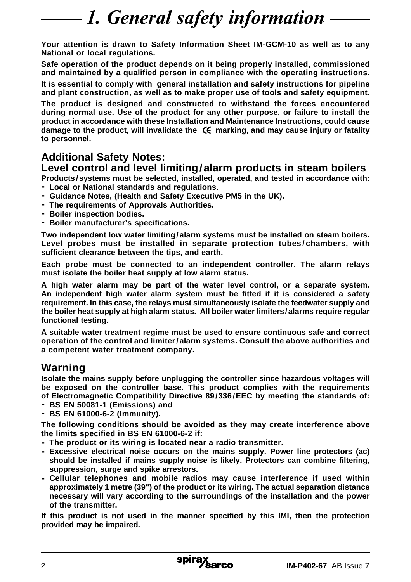## 1. General safety information

**Your attention is drawn to Safety Information Sheet IM-GCM-10 as well as to any National or local regulations.**

**Safe operation of the product depends on it being properly installed, commissioned and maintained by a qualified person in compliance with the operating instructions.**

**It is essential to comply with general installation and safety instructions for pipeline and plant construction, as well as to make proper use of tools and safety equipment.**

**The product is designed and constructed to withstand the forces encountered during normal use. Use of the product for any other purpose, or failure to install the product in accordance with these Installation and Maintenance Instructions, could cause** damage to the product, will invalidate the  $\mathsf{C}\mathsf{E}$  marking, and may cause injury or fatality **to personnel.**

### **Additional Safety Notes:**

#### **Level control and level limiting/alarm products in steam boilers**

**Products /systems must be selected, installed, operated, and tested in accordance with: - Local or National standards and regulations.**

- **- Guidance Notes, (Health and Safety Executive PM5 in the UK).**
- **- The requirements of Approvals Authorities.**
- **- Boiler inspection bodies.**
- **- Boiler manufacturer's specifications.**

**Two independent low water limiting/alarm systems must be installed on steam boilers. Level probes must be installed in separate protection tubes/chambers, with sufficient clearance between the tips, and earth.**

**Each probe must be connected to an independent controller. The alarm relays must isolate the boiler heat supply at low alarm status.**

**A high water alarm may be part of the water level control, or a separate system. An independent high water alarm system must be fitted if it is considered a safety requirement. In this case, the relays must simultaneously isolate the feedwater supply and the boiler heat supply at high alarm status. All boiler water limiters/alarms require regular functional testing.**

**A suitable water treatment regime must be used to ensure continuous safe and correct operation of the control and limiter/alarm systems. Consult the above authorities and a competent water treatment company.**

#### **Warning**

**Isolate the mains supply before unplugging the controller since hazardous voltages will be exposed on the controller base. This product complies with the requirements of Electromagnetic Compatibility Directive 89/336/EEC by meeting the standards of:**

- **- BS EN 50081-1 (Emissions) and**
- **- BS EN 61000-6-2 (Immunity).**

**The following conditions should be avoided as they may create interference above the limits specified in BS EN 61000-6-2 if:**

- **- The product or its wiring is located near a radio transmitter.**
- **- Excessive electrical noise occurs on the mains supply. Power line protectors (ac) should be installed if mains supply noise is likely. Protectors can combine filtering, suppression, surge and spike arrestors.**
- **- Cellular telephones and mobile radios may cause interference if used within approximately 1 metre (39") of the product or its wiring. The actual separation distance necessary will vary according to the surroundings of the installation and the power of the transmitter.**

**If this product is not used in the manner specified by this IMI, then the protection provided may be impaired.**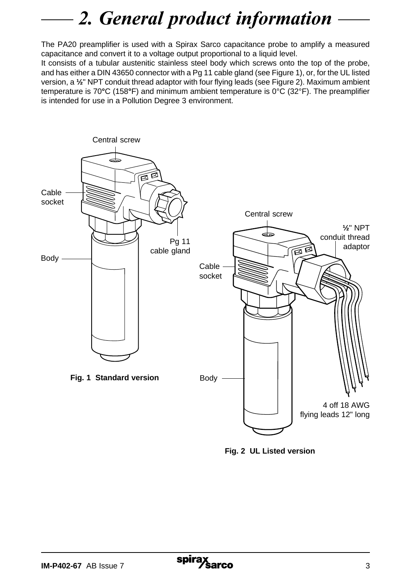# 2. General product information

The PA20 preamplifier is used with a Spirax Sarco capacitance probe to amplify a measured capacitance and convert it to a voltage output proportional to a liquid level.

It consists of a tubular austenitic stainless steel body which screws onto the top of the probe, and has either a DIN 43650 connector with a Pg 11 cable gland (see Figure 1), or, for the UL listed version, a **½**" NPT conduit thread adaptor with four flying leads (see Figure 2). Maximum ambient temperature is 70**°**C (158**°**F) and minimum ambient temperature is 0°C (32°F). The preamplifier is intended for use in a Pollution Degree 3 environment.



**Fig. 2 UL Listed version**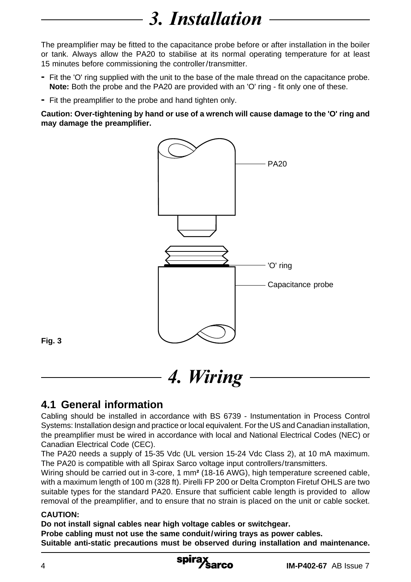# 3. Installation

The preamplifier may be fitted to the capacitance probe before or after installation in the boiler or tank. Always allow the PA20 to stabilise at its normal operating temperature for at least 15 minutes before commissioning the controller/transmitter.

- **-** Fit the 'O' ring supplied with the unit to the base of the male thread on the capacitance probe. **Note:** Both the probe and the PA20 are provided with an 'O' ring - fit only one of these.
- **-** Fit the preamplifier to the probe and hand tighten only.

**Caution: Over-tightening by hand or use of a wrench will cause damage to the 'O' ring and may damage the preamplifier.**



**Fig. 3**

**4. Wiring** 

### **4.1 General information**

Cabling should be installed in accordance with BS 6739 - Instumentation in Process Control Systems: Installation design and practice or local equivalent. For the US and Canadian installation, the preamplifier must be wired in accordance with local and National Electrical Codes (NEC) or Canadian Electrical Code (CEC).

The PA20 needs a supply of 15-35 Vdc (UL version 15-24 Vdc Class 2), at 10 mA maximum. The PA20 is compatible with all Spirax Sarco voltage input controllers/transmitters.

Wiring should be carried out in 3-core, 1 mm**²** (18-16 AWG), high temperature screened cable, with a maximum length of 100 m (328 ft). Pirelli FP 200 or Delta Crompton Firetuf OHLS are two suitable types for the standard PA20. Ensure that sufficient cable length is provided to allow removal of the preamplifier, and to ensure that no strain is placed on the unit or cable socket.

#### **CAUTION:**

**Do not install signal cables near high voltage cables or switchgear.**

**Probe cabling must not use the same conduit/wiring trays as power cables. Suitable anti-static precautions must be observed during installation and maintenance.**

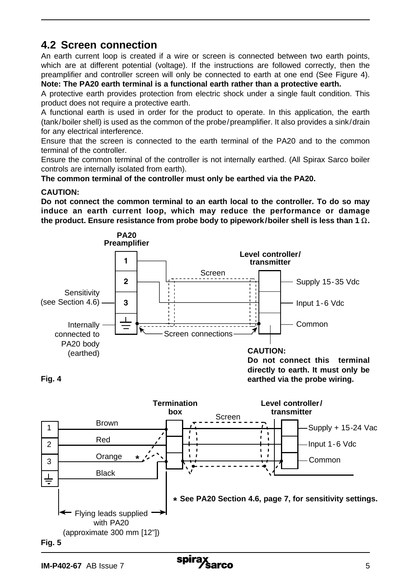#### **4.2 Screen connection**

An earth current loop is created if a wire or screen is connected between two earth points, which are at different potential (voltage). If the instructions are followed correctly, then the preamplifier and controller screen will only be connected to earth at one end (See Figure 4). **Note: The PA20 earth terminal is a functional earth rather than a protective earth.**

A protective earth provides protection from electric shock under a single fault condition. This product does not require a protective earth.

A functional earth is used in order for the product to operate. In this application, the earth (tank/boiler shell) is used as the common of the probe/preamplifier. It also provides a sink/drain for any electrical interference.

Ensure that the screen is connected to the earth terminal of the PA20 and to the common terminal of the controller.

Ensure the common terminal of the controller is not internally earthed. (All Spirax Sarco boiler controls are internally isolated from earth).

**The common terminal of the controller must only be earthed via the PA20.**

#### **CAUTION:**

**Do not connect the common terminal to an earth local to the controller. To do so may induce an earth current loop, which may reduce the performance or damage** the product. Ensure resistance from probe body to pipework/boiler shell is less than 1  $\Omega$ .



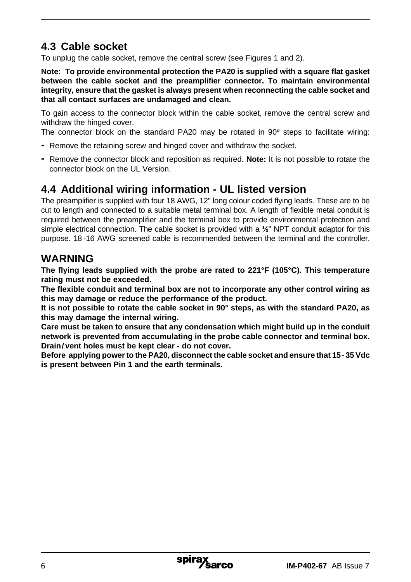### **4.3 Cable socket**

To unplug the cable socket, remove the central screw (see Figures 1 and 2).

**Note: To provide environmental protection the PA20 is supplied with a square flat gasket between the cable socket and the preamplifier connector. To maintain environmental integrity, ensure that the gasket is always present when reconnecting the cable socket and that all contact surfaces are undamaged and clean.**

To gain access to the connector block within the cable socket, remove the central screw and withdraw the hinged cover.

The connector block on the standard PA20 may be rotated in 90**<sup>o</sup>** steps to facilitate wiring:

- **-** Remove the retaining screw and hinged cover and withdraw the socket.
- **-** Remove the connector block and reposition as required. **Note:** It is not possible to rotate the connector block on the UL Version.

#### **4.4 Additional wiring information - UL listed version**

The preamplifier is supplied with four 18 AWG, 12" long colour coded flying leads. These are to be cut to length and connected to a suitable metal terminal box. A length of flexible metal conduit is required between the preamplifier and the terminal box to provide environmental protection and simple electrical connection. The cable socket is provided with a **½**" NPT conduit adaptor for this purpose. 18 -16 AWG screened cable is recommended between the terminal and the controller.

#### **WARNING**

**The flying leads supplied with the probe are rated to 221°F (105°C). This temperature rating must not be exceeded.**

**The flexible conduit and terminal box are not to incorporate any other control wiring as this may damage or reduce the performance of the product.**

**It is not possible to rotate the cable socket in 90° steps, as with the standard PA20, as this may damage the internal wiring.**

**Care must be taken to ensure that any condensation which might build up in the conduit network is prevented from accumulating in the probe cable connector and terminal box. Drain/ vent holes must be kept clear - do not cover.**

**Before applying power to the PA20, disconnect the cable socket and ensure that 15- 35 Vdc is present between Pin 1 and the earth terminals.**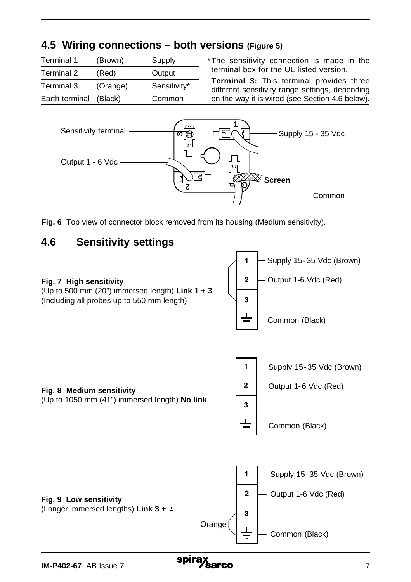### **4.5 Wiring connections – both versions (Figure 5)**

| Terminal 1             | (Brown)  | Supply       |
|------------------------|----------|--------------|
| Terminal 2             | (Red)    | Output       |
| Terminal 3             | (Orange) | Sensitivity* |
| Earth terminal (Black) |          | Common       |

\*The sensitivity connection is made in the terminal box for the UL listed version.

**Terminal 3:** This terminal provides three different sensitivity range settings, depending on the way it is wired (see Section 4.6 below).



**Fig. 6** Top view of connector block removed from its housing (Medium sensitivity).

#### **4.6 Sensitivity settings**

#### **Fig. 7 High sensitivity**

(Up to 500 mm (20") immersed length) **Link 1 + 3** (Including all probes up to 550 mm length)





(Up to 1050 mm (41") immersed length) **No link**